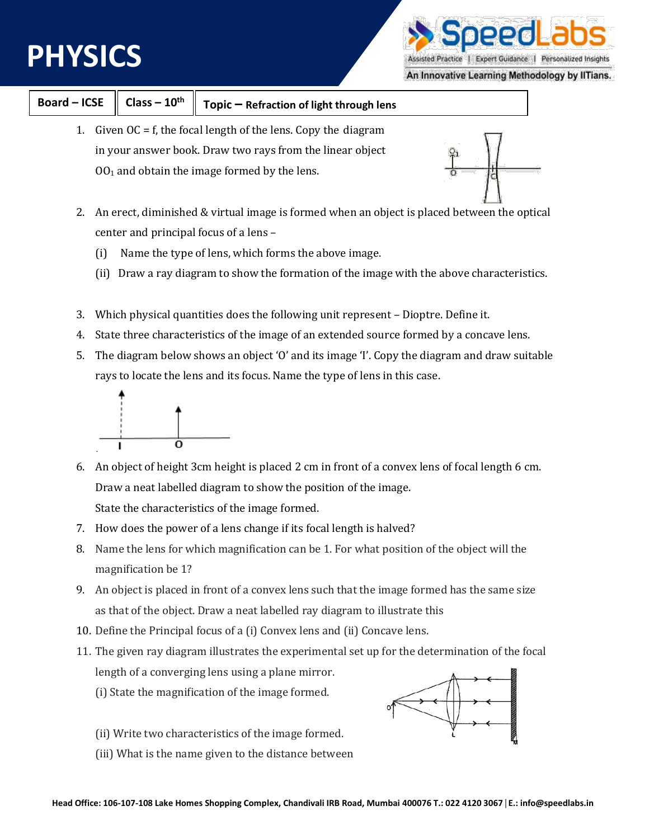## **PHYSICS**



Assisted Practice | Expert Guidance | Personalized Insights

An Innovative Learning Methodology by IITians.

| <b>Board-ICSE</b>                                                                                                            | $Class - 10th$ | Topic - Refraction of light through lens       |  |
|------------------------------------------------------------------------------------------------------------------------------|----------------|------------------------------------------------|--|
| Given $OC = f$ , the focal length of the lens. Copy the diagram<br>in your answer book. Draw two rays from the linear object |                |                                                |  |
|                                                                                                                              |                | $001$ and obtain the image formed by the lens. |  |

- 2. An erect, diminished & virtual image is formed when an object is placed between the optical center and principal focus of a lens –
	- (i) Name the type of lens, which forms the above image.
	- (ii) Draw a ray diagram to show the formation of the image with the above characteristics.
- 3. Which physical quantities does the following unit represent Dioptre. Define it.
- 4. State three characteristics of the image of an extended source formed by a concave lens.
- 5. The diagram below shows an object 'O' and its image 'I'. Copy the diagram and draw suitable rays to locate the lens and its focus. Name the type of lens in this case.



- 6. An object of height 3cm height is placed 2 cm in front of a convex lens of focal length 6 cm. Draw a neat labelled diagram to show the position of the image. State the characteristics of the image formed.
- 7. How does the power of a lens change if its focal length is halved?
- 8. Name the lens for which magnification can be 1. For what position of the object will the magnification be 1?
- 9. An object is placed in front of a convex lens such that the image formed has the same size as that of the object. Draw a neat labelled ray diagram to illustrate this
- 10. Define the Principal focus of a (i) Convex lens and (ii) Concave lens.
- 11. The given ray diagram illustrates the experimental set up for the determination of the focal length of a converging lens using a plane mirror.
	- (i) State the magnification of the image formed.
	- (ii) Write two characteristics of the image formed.
	- (iii) What is the name given to the distance between